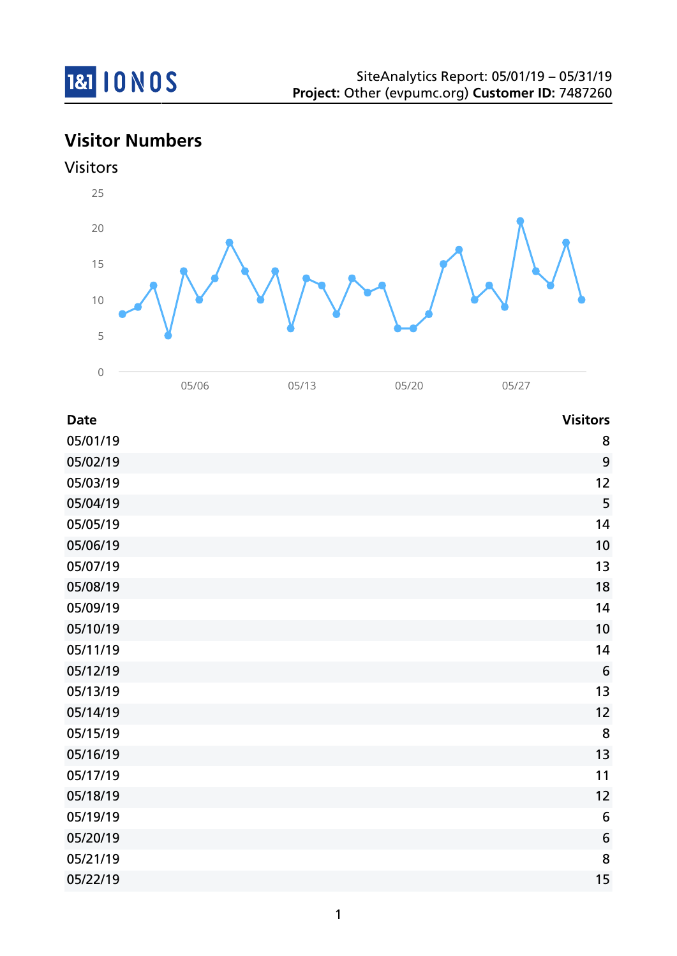

# **Visitor Numbers**





| <b>Date</b> | <b>Visitors</b> |
|-------------|-----------------|
| 05/01/19    | 8               |
| 05/02/19    | 9               |
| 05/03/19    | 12              |
| 05/04/19    | 5               |
| 05/05/19    | 14              |
| 05/06/19    | 10              |
| 05/07/19    | 13              |
| 05/08/19    | 18              |
| 05/09/19    | 14              |
| 05/10/19    | 10              |
| 05/11/19    | 14              |
| 05/12/19    | $6\phantom{1}6$ |
| 05/13/19    | 13              |
| 05/14/19    | 12              |
| 05/15/19    | 8               |
| 05/16/19    | 13              |
| 05/17/19    | 11              |
| 05/18/19    | 12              |
| 05/19/19    | $6\,$           |
| 05/20/19    | 6               |
| 05/21/19    | 8               |
| 05/22/19    | 15              |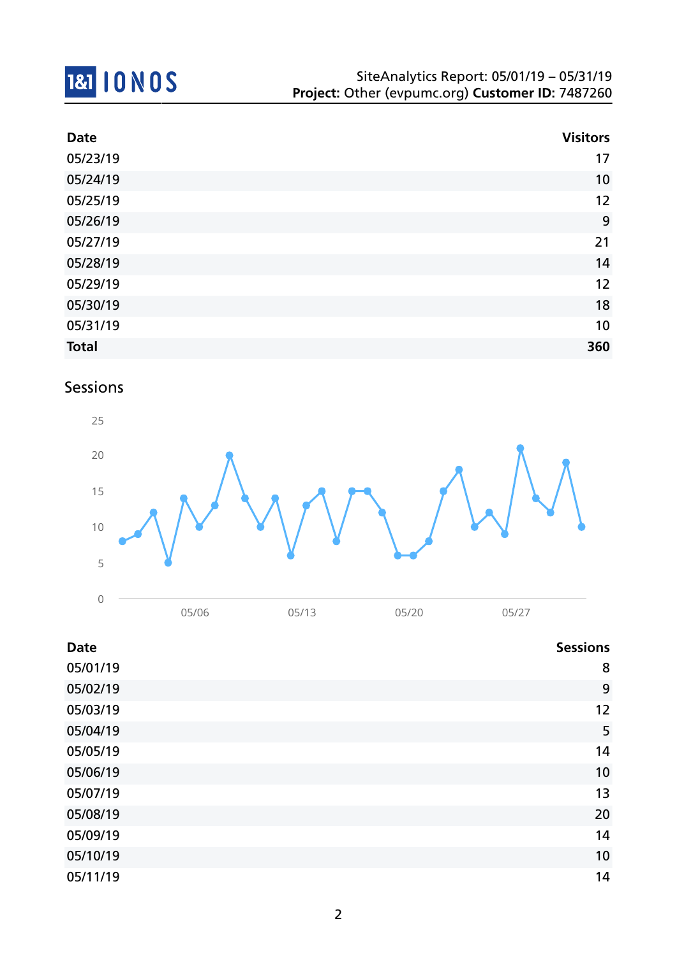# 181 10 NOS

| <b>Date</b>  | <b>Visitors</b> |
|--------------|-----------------|
| 05/23/19     | 17              |
| 05/24/19     | 10              |
| 05/25/19     | 12              |
| 05/26/19     | 9               |
| 05/27/19     | 21              |
| 05/28/19     | 14              |
| 05/29/19     | 12              |
| 05/30/19     | 18              |
| 05/31/19     | 10              |
| <b>Total</b> | 360             |

## Sessions



| <b>Date</b> | <b>Sessions</b> |
|-------------|-----------------|
| 05/01/19    | 8               |
| 05/02/19    | 9               |
| 05/03/19    | 12              |
| 05/04/19    | 5               |
| 05/05/19    | 14              |
| 05/06/19    | 10              |
| 05/07/19    | 13              |
| 05/08/19    | 20              |
| 05/09/19    | 14              |
| 05/10/19    | 10              |
| 05/11/19    | 14              |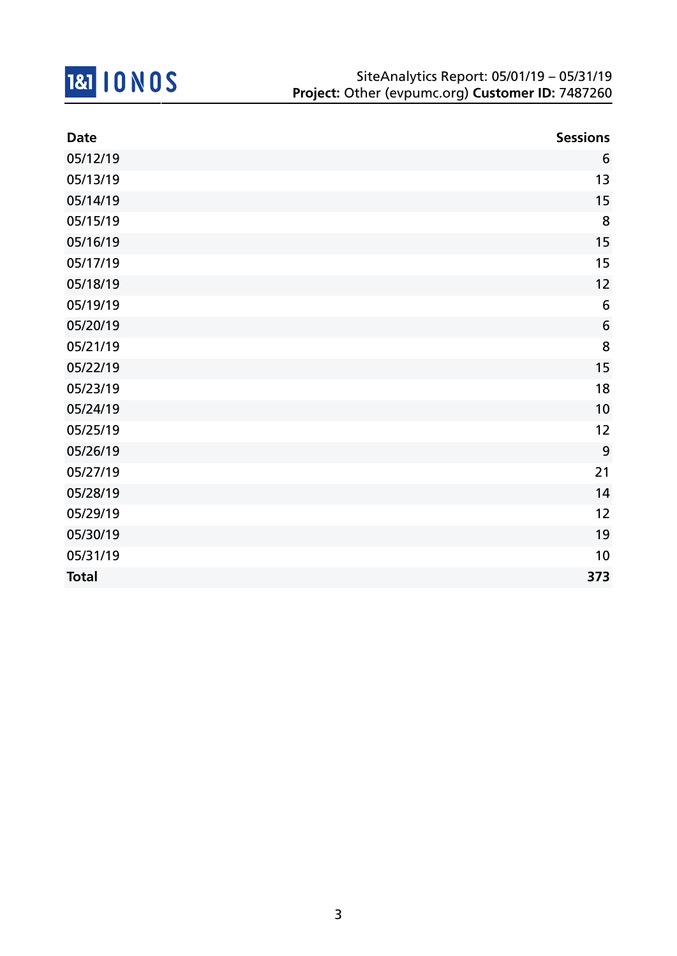

| <b>Date</b>  | <b>Sessions</b>  |
|--------------|------------------|
| 05/12/19     | 6                |
| 05/13/19     | 13               |
| 05/14/19     | 15               |
| 05/15/19     | 8                |
| 05/16/19     | 15               |
| 05/17/19     | 15               |
| 05/18/19     | 12               |
| 05/19/19     | 6                |
| 05/20/19     | $\boldsymbol{6}$ |
| 05/21/19     | 8                |
| 05/22/19     | 15               |
| 05/23/19     | 18               |
| 05/24/19     | 10               |
| 05/25/19     | 12               |
| 05/26/19     | 9                |
| 05/27/19     | 21               |
| 05/28/19     | 14               |
| 05/29/19     | 12               |
| 05/30/19     | 19               |
| 05/31/19     | 10               |
| <b>Total</b> | 373              |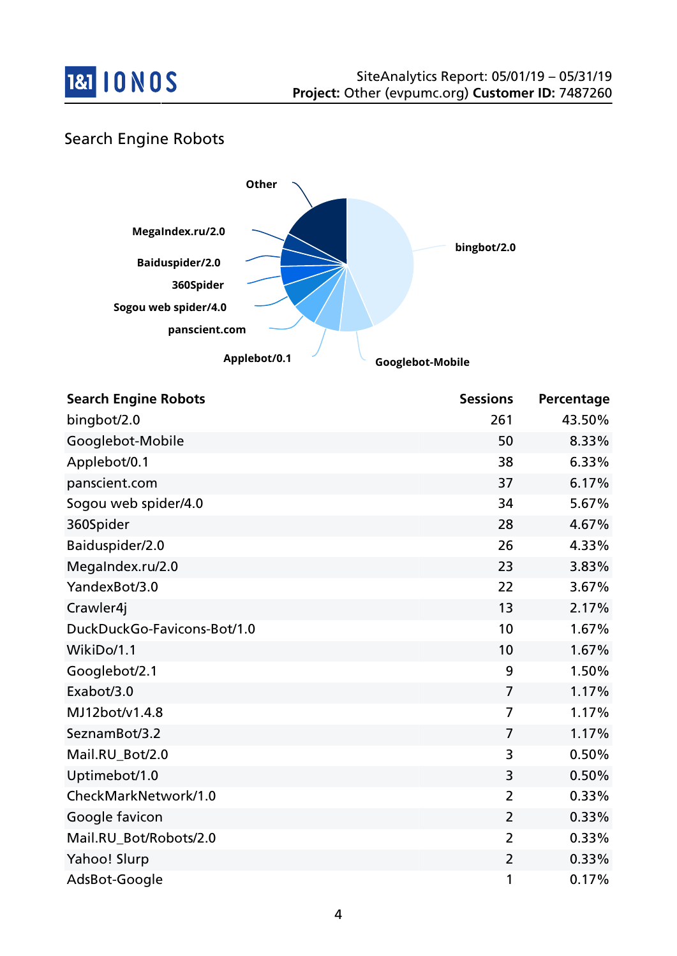

## Search Engine Robots



| <b>Search Engine Robots</b> | <b>Sessions</b> | Percentage |
|-----------------------------|-----------------|------------|
| bingbot/2.0                 | 261             | 43.50%     |
| Googlebot-Mobile            | 50              | 8.33%      |
| Applebot/0.1                | 38              | 6.33%      |
| panscient.com               | 37              | 6.17%      |
| Sogou web spider/4.0        | 34              | 5.67%      |
| 360Spider                   | 28              | 4.67%      |
| Baiduspider/2.0             | 26              | 4.33%      |
| MegaIndex.ru/2.0            | 23              | 3.83%      |
| YandexBot/3.0               | 22              | 3.67%      |
| Crawler4j                   | 13              | 2.17%      |
| DuckDuckGo-Favicons-Bot/1.0 | 10              | 1.67%      |
| WikiDo/1.1                  | 10              | 1.67%      |
| Googlebot/2.1               | 9               | 1.50%      |
| Exabot/3.0                  | $\overline{7}$  | 1.17%      |
| MJ12bot/v1.4.8              | $\overline{7}$  | 1.17%      |
| SeznamBot/3.2               | 7               | 1.17%      |
| Mail.RU_Bot/2.0             | 3               | 0.50%      |
| Uptimebot/1.0               | 3               | 0.50%      |
| CheckMarkNetwork/1.0        | $\overline{2}$  | 0.33%      |
| Google favicon              | $\overline{2}$  | 0.33%      |
| Mail.RU_Bot/Robots/2.0      | $\overline{2}$  | 0.33%      |
| Yahoo! Slurp                | $\overline{2}$  | 0.33%      |
| AdsBot-Google               | 1               | 0.17%      |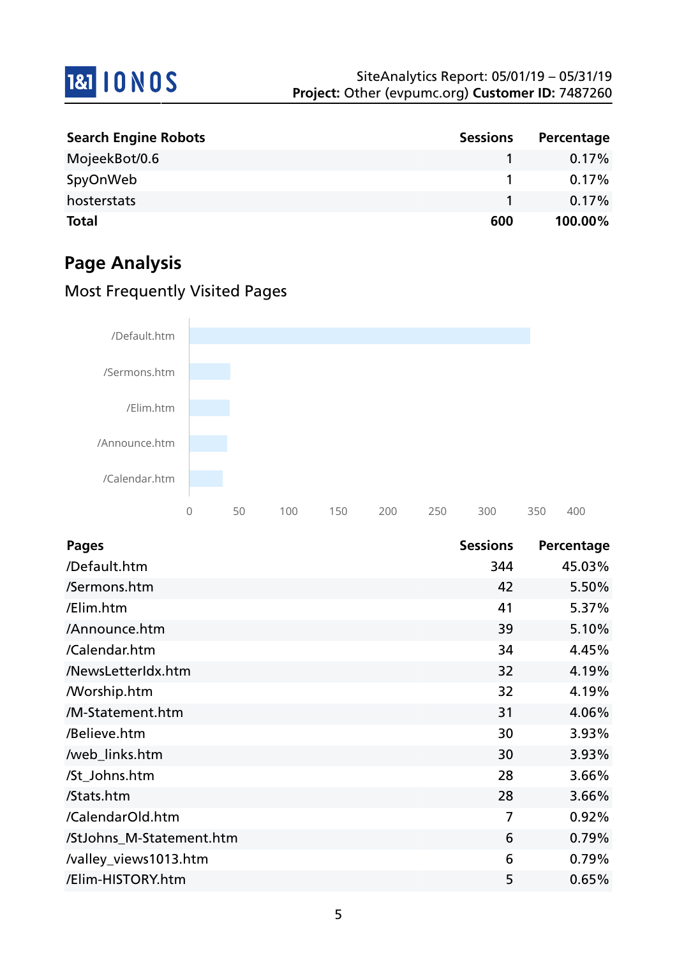

| <b>Search Engine Robots</b> | <b>Sessions</b> | Percentage |
|-----------------------------|-----------------|------------|
| MojeekBot/0.6               |                 | $0.17\%$   |
| SpyOnWeb                    |                 | 0.17%      |
| hosterstats                 |                 | $0.17\%$   |
| <b>Total</b>                | 600             | 100.00%    |

# **Page Analysis**

## Most Frequently Visited Pages



| <b>Pages</b>             | <b>Sessions</b> | Percentage |
|--------------------------|-----------------|------------|
| /Default.htm             | 344             | 45.03%     |
| /Sermons.htm             | 42              | 5.50%      |
| /Elim.htm                | 41              | 5.37%      |
| /Announce.htm            | 39              | 5.10%      |
| /Calendar.htm            | 34              | 4.45%      |
| /NewsLetterIdx.htm       | 32              | 4.19%      |
| <b>Morship.htm</b>       | 32              | 4.19%      |
| /M-Statement.htm         | 31              | 4.06%      |
| /Believe.htm             | 30              | 3.93%      |
| /web_links.htm           | 30              | 3.93%      |
| /St_Johns.htm            | 28              | 3.66%      |
| /Stats.htm               | 28              | 3.66%      |
| /CalendarOld.htm         | 7               | 0.92%      |
| /StJohns_M-Statement.htm | 6               | 0.79%      |
| /valley_views1013.htm    | 6               | 0.79%      |
| /Elim-HISTORY.htm        | 5               | 0.65%      |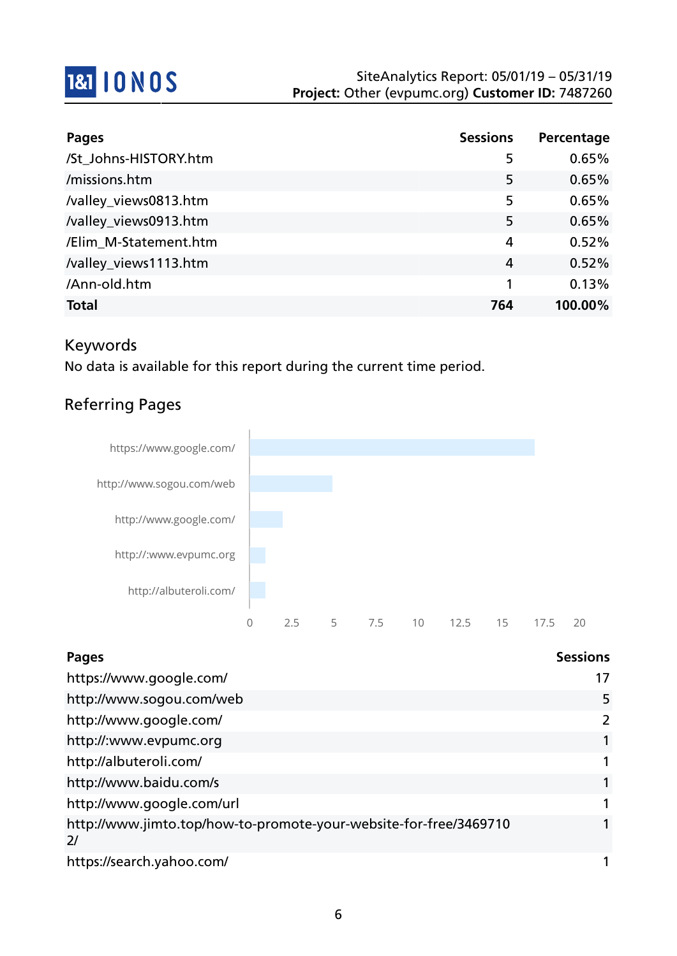

| <b>Pages</b>          | <b>Sessions</b> | Percentage |
|-----------------------|-----------------|------------|
| /St_Johns-HISTORY.htm | 5               | 0.65%      |
| /missions.htm         | 5               | 0.65%      |
| /valley_views0813.htm | 5               | 0.65%      |
| /valley_views0913.htm | 5               | 0.65%      |
| /Elim M-Statement.htm | 4               | 0.52%      |
| /valley_views1113.htm | 4               | 0.52%      |
| /Ann-old.htm          |                 | 0.13%      |
| <b>Total</b>          | 764             | 100.00%    |

### Keywords

No data is available for this report during the current time period.

## Referring Pages



| <b>Pages</b>                                                            | <b>Sessions</b> |
|-------------------------------------------------------------------------|-----------------|
| https://www.google.com/                                                 | 17              |
| http://www.sogou.com/web                                                | 5               |
| http://www.google.com/                                                  | $\overline{2}$  |
| http://:www.evpumc.org                                                  | 1               |
| http://albuteroli.com/                                                  | 1               |
| http://www.baidu.com/s                                                  | 1               |
| http://www.google.com/url                                               | 1               |
| http://www.jimto.top/how-to-promote-your-website-for-free/3469710<br>2/ |                 |
| https://search.yahoo.com/                                               |                 |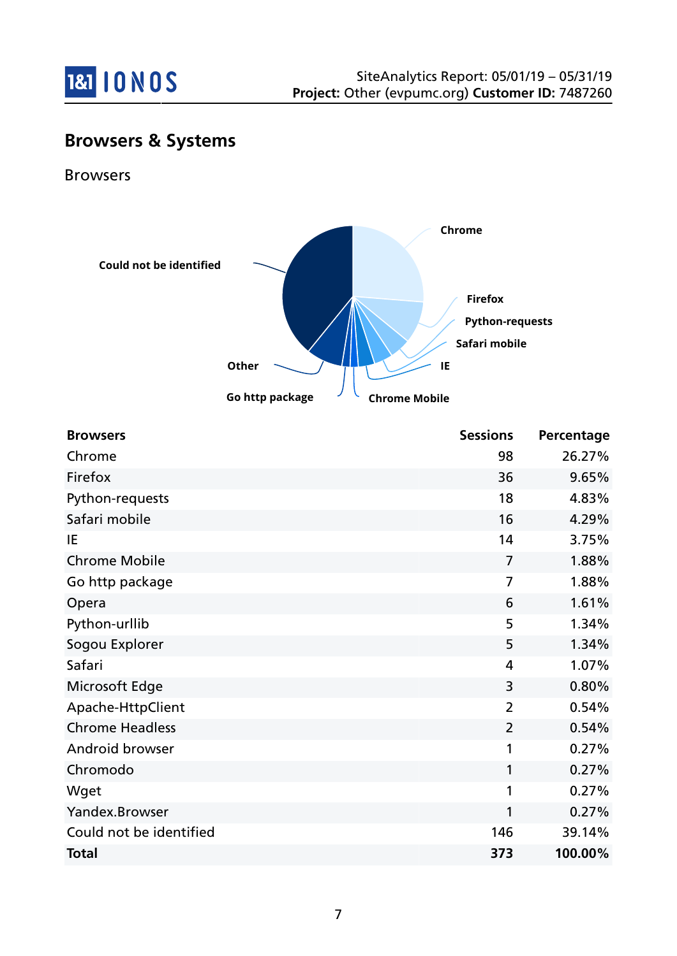

# **Browsers & Systems**

Browsers



| <b>Browsers</b>         | <b>Sessions</b> | Percentage |
|-------------------------|-----------------|------------|
| Chrome                  | 98              | 26.27%     |
| Firefox                 | 36              | 9.65%      |
| Python-requests         | 18              | 4.83%      |
| Safari mobile           | 16              | 4.29%      |
| IE                      | 14              | 3.75%      |
| <b>Chrome Mobile</b>    | $\overline{7}$  | 1.88%      |
| Go http package         | $\overline{7}$  | 1.88%      |
| Opera                   | 6               | 1.61%      |
| Python-urllib           | 5               | 1.34%      |
| Sogou Explorer          | 5               | 1.34%      |
| Safari                  | 4               | 1.07%      |
| Microsoft Edge          | 3               | 0.80%      |
| Apache-HttpClient       | $\overline{2}$  | 0.54%      |
| <b>Chrome Headless</b>  | $\overline{2}$  | 0.54%      |
| Android browser         | 1               | 0.27%      |
| Chromodo                | 1               | 0.27%      |
| Wget                    | 1               | 0.27%      |
| Yandex.Browser          | 1               | 0.27%      |
| Could not be identified | 146             | 39.14%     |
| <b>Total</b>            | 373             | 100.00%    |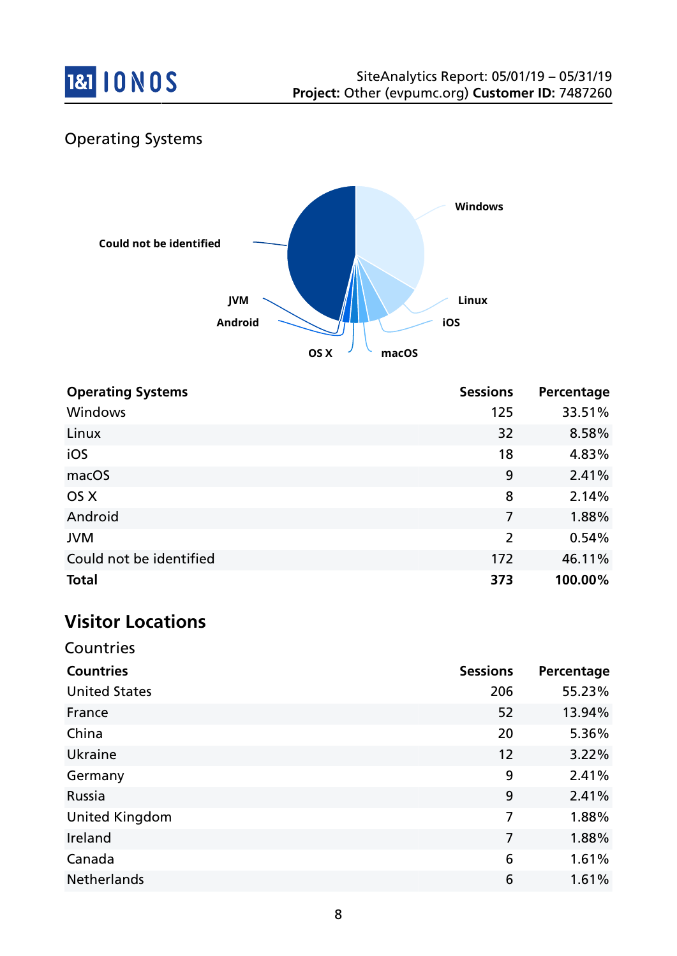

# Operating Systems



| <b>Operating Systems</b> | <b>Sessions</b> | Percentage |
|--------------------------|-----------------|------------|
| Windows                  | 125             | 33.51%     |
| Linux                    | 32              | 8.58%      |
| iOS                      | 18              | 4.83%      |
| macOS                    | 9               | 2.41%      |
| OS X                     | 8               | 2.14%      |
| Android                  | 7               | 1.88%      |
| <b>JVM</b>               | $\overline{2}$  | 0.54%      |
| Could not be identified  | 172             | 46.11%     |
| <b>Total</b>             | 373             | 100.00%    |

# **Visitor Locations**

Countries

| <b>Countries</b>      | <b>Sessions</b> | Percentage |
|-----------------------|-----------------|------------|
| <b>United States</b>  | 206             | 55.23%     |
| France                | 52              | 13.94%     |
| China                 | 20              | 5.36%      |
| Ukraine               | 12              | 3.22%      |
| Germany               | 9               | 2.41%      |
| Russia                | 9               | 2.41%      |
| <b>United Kingdom</b> | 7               | 1.88%      |
| Ireland               | 7               | 1.88%      |
| Canada                | 6               | 1.61%      |
| <b>Netherlands</b>    | 6               | 1.61%      |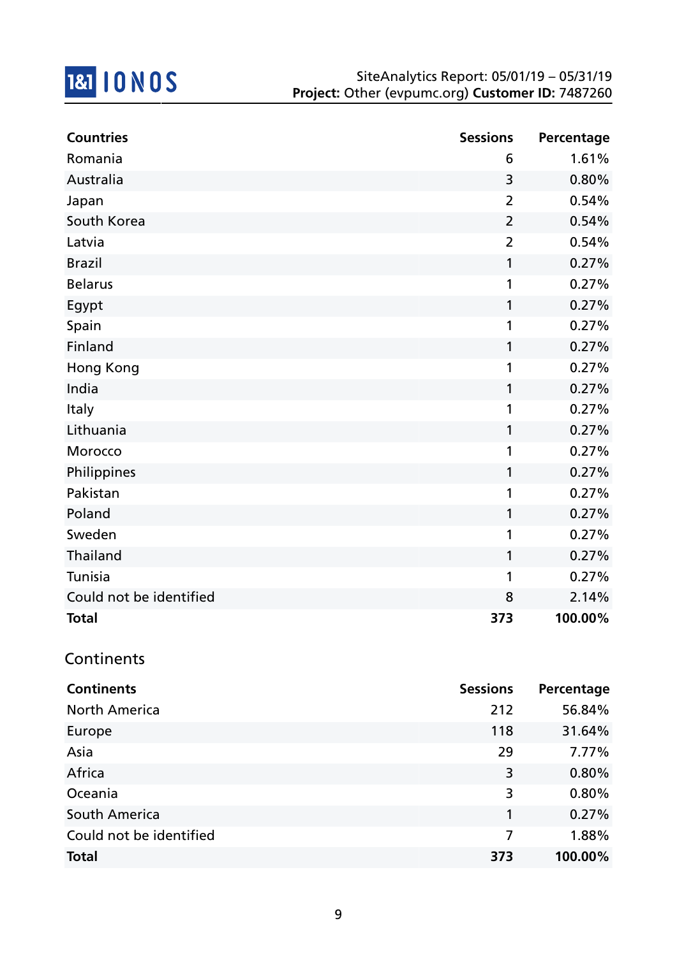

| <b>Countries</b>        | <b>Sessions</b> | Percentage |
|-------------------------|-----------------|------------|
| Romania                 | 6               | 1.61%      |
| Australia               | 3               | 0.80%      |
| Japan                   | $\overline{2}$  | 0.54%      |
| South Korea             | $\overline{2}$  | 0.54%      |
| Latvia                  | $\overline{2}$  | 0.54%      |
| <b>Brazil</b>           | $\mathbf{1}$    | 0.27%      |
| <b>Belarus</b>          | 1               | 0.27%      |
| Egypt                   | $\mathbf{1}$    | 0.27%      |
| Spain                   | 1               | 0.27%      |
| Finland                 | $\mathbf{1}$    | 0.27%      |
| Hong Kong               | 1               | 0.27%      |
| India                   | 1               | 0.27%      |
| Italy                   | 1               | 0.27%      |
| Lithuania               | 1               | 0.27%      |
| Morocco                 | $\mathbf{1}$    | 0.27%      |
| Philippines             | 1               | 0.27%      |
| Pakistan                | 1               | 0.27%      |
| Poland                  | 1               | 0.27%      |
| Sweden                  | 1               | 0.27%      |
| Thailand                | $\mathbf{1}$    | 0.27%      |
| Tunisia                 | 1               | 0.27%      |
| Could not be identified | 8               | 2.14%      |
| <b>Total</b>            | 373             | 100.00%    |

## **Continents**

| <b>Continents</b>       | <b>Sessions</b> | Percentage |
|-------------------------|-----------------|------------|
| <b>North America</b>    | 212             | 56.84%     |
| Europe                  | 118             | 31.64%     |
| Asia                    | 29              | 7.77%      |
| Africa                  | 3               | 0.80%      |
| Oceania                 | 3               | 0.80%      |
| South America           | 1               | 0.27%      |
| Could not be identified | 7               | 1.88%      |
| <b>Total</b>            | 373             | 100.00%    |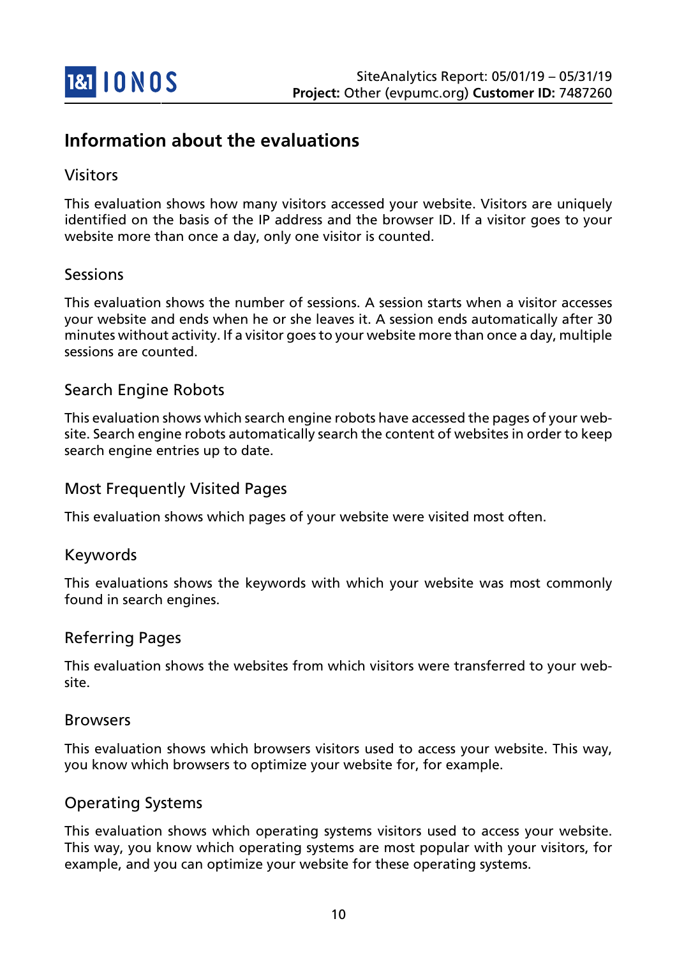

## **Information about the evaluations**

#### Visitors

This evaluation shows how many visitors accessed your website. Visitors are uniquely identified on the basis of the IP address and the browser ID. If a visitor goes to your website more than once a day, only one visitor is counted.

#### Sessions

This evaluation shows the number of sessions. A session starts when a visitor accesses your website and ends when he or she leaves it. A session ends automatically after 30 minutes without activity. If a visitor goes to your website more than once a day, multiple sessions are counted.

#### Search Engine Robots

This evaluation shows which search engine robots have accessed the pages of your website. Search engine robots automatically search the content of websites in order to keep search engine entries up to date.

#### Most Frequently Visited Pages

This evaluation shows which pages of your website were visited most often.

#### Keywords

This evaluations shows the keywords with which your website was most commonly found in search engines.

#### Referring Pages

This evaluation shows the websites from which visitors were transferred to your website.

#### Browsers

This evaluation shows which browsers visitors used to access your website. This way, you know which browsers to optimize your website for, for example.

#### Operating Systems

This evaluation shows which operating systems visitors used to access your website. This way, you know which operating systems are most popular with your visitors, for example, and you can optimize your website for these operating systems.